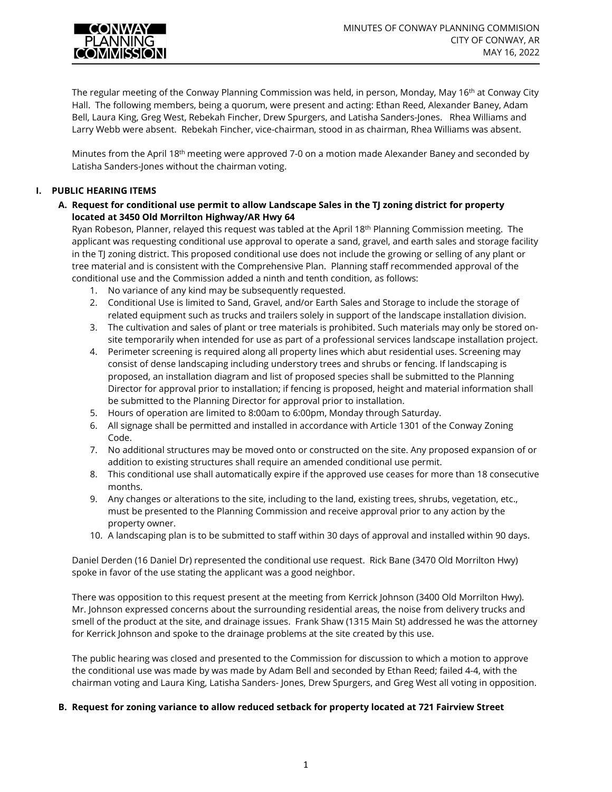

The regular meeting of the Conway Planning Commission was held, in person, Monday, May 16<sup>th</sup> at Conway City Hall. The following members, being a quorum, were present and acting: Ethan Reed, Alexander Baney, Adam Bell, Laura King, Greg West, Rebekah Fincher, Drew Spurgers, and Latisha Sanders-Jones. Rhea Williams and Larry Webb were absent. Rebekah Fincher, vice-chairman, stood in as chairman, Rhea Williams was absent.

Minutes from the April 18<sup>th</sup> meeting were approved 7-0 on a motion made Alexander Baney and seconded by Latisha Sanders-Jones without the chairman voting.

# **I. PUBLIC HEARING ITEMS**

**A. Request for conditional use permit to allow Landscape Sales in the TJ zoning district for property located at 3450 Old Morrilton Highway/AR Hwy 64** 

Ryan Robeson, Planner, relayed this request was tabled at the April 18<sup>th</sup> Planning Commission meeting. The applicant was requesting conditional use approval to operate a sand, gravel, and earth sales and storage facility in the TJ zoning district. This proposed conditional use does not include the growing or selling of any plant or tree material and is consistent with the Comprehensive Plan. Planning staff recommended approval of the conditional use and the Commission added a ninth and tenth condition, as follows:

- 1. No variance of any kind may be subsequently requested.
- 2. Conditional Use is limited to Sand, Gravel, and/or Earth Sales and Storage to include the storage of related equipment such as trucks and trailers solely in support of the landscape installation division.
- 3. The cultivation and sales of plant or tree materials is prohibited. Such materials may only be stored onsite temporarily when intended for use as part of a professional services landscape installation project.
- 4. Perimeter screening is required along all property lines which abut residential uses. Screening may consist of dense landscaping including understory trees and shrubs or fencing. If landscaping is proposed, an installation diagram and list of proposed species shall be submitted to the Planning Director for approval prior to installation; if fencing is proposed, height and material information shall be submitted to the Planning Director for approval prior to installation.
- 5. Hours of operation are limited to 8:00am to 6:00pm, Monday through Saturday.
- 6. All signage shall be permitted and installed in accordance with Article 1301 of the Conway Zoning Code.
- 7. No additional structures may be moved onto or constructed on the site. Any proposed expansion of or addition to existing structures shall require an amended conditional use permit.
- 8. This conditional use shall automatically expire if the approved use ceases for more than 18 consecutive months.
- 9. Any changes or alterations to the site, including to the land, existing trees, shrubs, vegetation, etc., must be presented to the Planning Commission and receive approval prior to any action by the property owner.
- 10. A landscaping plan is to be submitted to staff within 30 days of approval and installed within 90 days.

Daniel Derden (16 Daniel Dr) represented the conditional use request. Rick Bane (3470 Old Morrilton Hwy) spoke in favor of the use stating the applicant was a good neighbor.

There was opposition to this request present at the meeting from Kerrick Johnson (3400 Old Morrilton Hwy). Mr. Johnson expressed concerns about the surrounding residential areas, the noise from delivery trucks and smell of the product at the site, and drainage issues. Frank Shaw (1315 Main St) addressed he was the attorney for Kerrick Johnson and spoke to the drainage problems at the site created by this use.

The public hearing was closed and presented to the Commission for discussion to which a motion to approve the conditional use was made by was made by Adam Bell and seconded by Ethan Reed; failed 4-4, with the chairman voting and Laura King, Latisha Sanders- Jones, Drew Spurgers, and Greg West all voting in opposition.

### **B. Request for zoning variance to allow reduced setback for property located at 721 Fairview Street**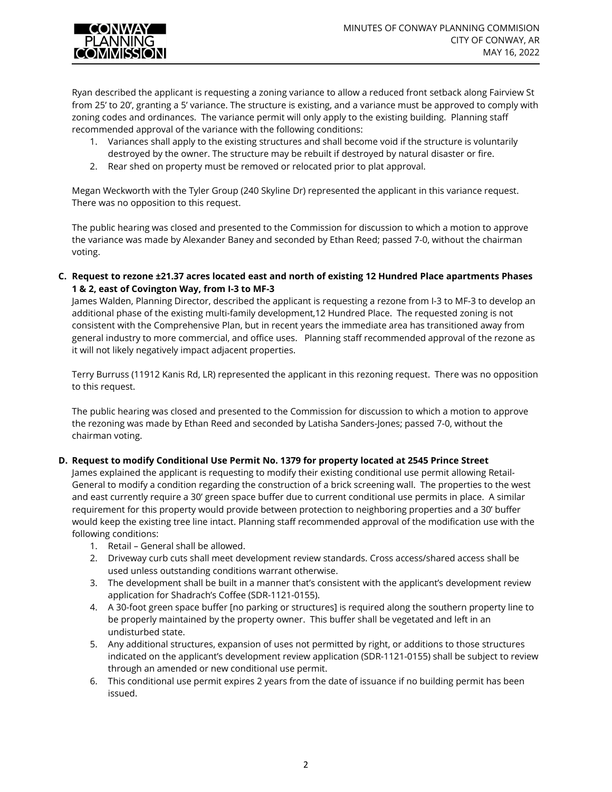

Ryan described the applicant is requesting a zoning variance to allow a reduced front setback along Fairview St from 25' to 20', granting a 5' variance. The structure is existing, and a variance must be approved to comply with zoning codes and ordinances. The variance permit will only apply to the existing building. Planning staff recommended approval of the variance with the following conditions:

- 1. Variances shall apply to the existing structures and shall become void if the structure is voluntarily destroyed by the owner. The structure may be rebuilt if destroyed by natural disaster or fire.
- 2. Rear shed on property must be removed or relocated prior to plat approval.

Megan Weckworth with the Tyler Group (240 Skyline Dr) represented the applicant in this variance request. There was no opposition to this request.

The public hearing was closed and presented to the Commission for discussion to which a motion to approve the variance was made by Alexander Baney and seconded by Ethan Reed; passed 7-0, without the chairman voting.

**C. Request to rezone ±21.37 acres located east and north of existing 12 Hundred Place apartments Phases 1 & 2, east of Covington Way, from I-3 to MF-3**

James Walden, Planning Director, described the applicant is requesting a rezone from I-3 to MF-3 to develop an additional phase of the existing multi-family development,12 Hundred Place. The requested zoning is not consistent with the Comprehensive Plan, but in recent years the immediate area has transitioned away from general industry to more commercial, and office uses. Planning staff recommended approval of the rezone as it will not likely negatively impact adjacent properties.

Terry Burruss (11912 Kanis Rd, LR) represented the applicant in this rezoning request. There was no opposition to this request.

The public hearing was closed and presented to the Commission for discussion to which a motion to approve the rezoning was made by Ethan Reed and seconded by Latisha Sanders-Jones; passed 7-0, without the chairman voting.

# **D. Request to modify Conditional Use Permit No. 1379 for property located at 2545 Prince Street**

James explained the applicant is requesting to modify their existing conditional use permit allowing Retail-General to modify a condition regarding the construction of a brick screening wall. The properties to the west and east currently require a 30' green space buffer due to current conditional use permits in place. A similar requirement for this property would provide between protection to neighboring properties and a 30' buffer would keep the existing tree line intact. Planning staff recommended approval of the modification use with the following conditions:

- 1. Retail General shall be allowed.
- 2. Driveway curb cuts shall meet development review standards. Cross access/shared access shall be used unless outstanding conditions warrant otherwise.
- 3. The development shall be built in a manner that's consistent with the applicant's development review application for Shadrach's Coffee (SDR-1121-0155).
- 4. A 30-foot green space buffer [no parking or structures] is required along the southern property line to be properly maintained by the property owner. This buffer shall be vegetated and left in an undisturbed state.
- 5. Any additional structures, expansion of uses not permitted by right, or additions to those structures indicated on the applicant's development review application (SDR-1121-0155) shall be subject to review through an amended or new conditional use permit.
- 6. This conditional use permit expires 2 years from the date of issuance if no building permit has been issued.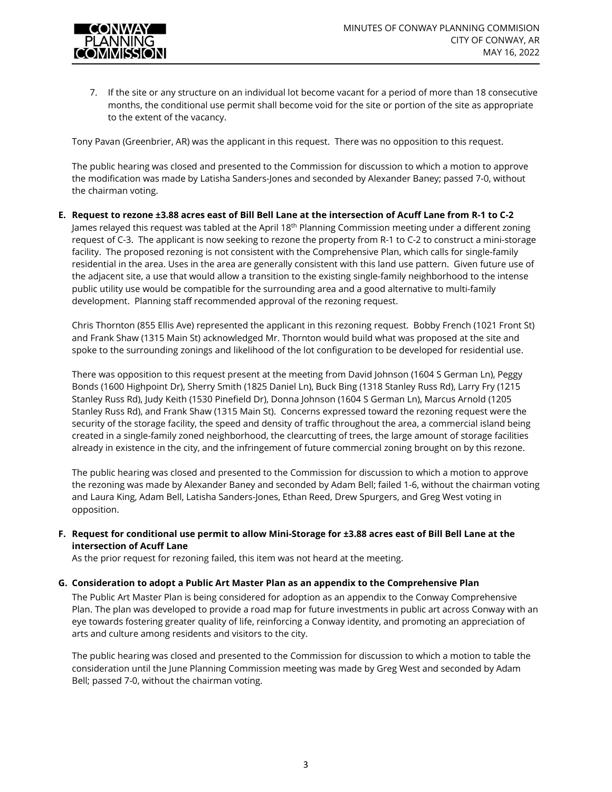

7. If the site or any structure on an individual lot become vacant for a period of more than 18 consecutive months, the conditional use permit shall become void for the site or portion of the site as appropriate to the extent of the vacancy.

Tony Pavan (Greenbrier, AR) was the applicant in this request. There was no opposition to this request.

The public hearing was closed and presented to the Commission for discussion to which a motion to approve the modification was made by Latisha Sanders-Jones and seconded by Alexander Baney; passed 7-0, without the chairman voting.

**E. Request to rezone ±3.88 acres east of Bill Bell Lane at the intersection of Acuff Lane from R-1 to C-2** James relayed this request was tabled at the April 18<sup>th</sup> Planning Commission meeting under a different zoning request of C-3. The applicant is now seeking to rezone the property from R-1 to C-2 to construct a mini-storage facility. The proposed rezoning is not consistent with the Comprehensive Plan, which calls for single-family residential in the area. Uses in the area are generally consistent with this land use pattern. Given future use of the adjacent site, a use that would allow a transition to the existing single-family neighborhood to the intense public utility use would be compatible for the surrounding area and a good alternative to multi-family development. Planning staff recommended approval of the rezoning request.

Chris Thornton (855 Ellis Ave) represented the applicant in this rezoning request. Bobby French (1021 Front St) and Frank Shaw (1315 Main St) acknowledged Mr. Thornton would build what was proposed at the site and spoke to the surrounding zonings and likelihood of the lot configuration to be developed for residential use.

There was opposition to this request present at the meeting from David Johnson (1604 S German Ln), Peggy Bonds (1600 Highpoint Dr), Sherry Smith (1825 Daniel Ln), Buck Bing (1318 Stanley Russ Rd), Larry Fry (1215 Stanley Russ Rd), Judy Keith (1530 Pinefield Dr), Donna Johnson (1604 S German Ln), Marcus Arnold (1205 Stanley Russ Rd), and Frank Shaw (1315 Main St). Concerns expressed toward the rezoning request were the security of the storage facility, the speed and density of traffic throughout the area, a commercial island being created in a single-family zoned neighborhood, the clearcutting of trees, the large amount of storage facilities already in existence in the city, and the infringement of future commercial zoning brought on by this rezone.

The public hearing was closed and presented to the Commission for discussion to which a motion to approve the rezoning was made by Alexander Baney and seconded by Adam Bell; failed 1-6, without the chairman voting and Laura King, Adam Bell, Latisha Sanders-Jones, Ethan Reed, Drew Spurgers, and Greg West voting in opposition.

**F. Request for conditional use permit to allow Mini-Storage for ±3.88 acres east of Bill Bell Lane at the intersection of Acuff Lane**

As the prior request for rezoning failed, this item was not heard at the meeting.

### **G. Consideration to adopt a Public Art Master Plan as an appendix to the Comprehensive Plan**

The Public Art Master Plan is being considered for adoption as an appendix to the Conway Comprehensive Plan. The plan was developed to provide a road map for future investments in public art across Conway with an eye towards fostering greater quality of life, reinforcing a Conway identity, and promoting an appreciation of arts and culture among residents and visitors to the city.

The public hearing was closed and presented to the Commission for discussion to which a motion to table the consideration until the June Planning Commission meeting was made by Greg West and seconded by Adam Bell; passed 7-0, without the chairman voting.